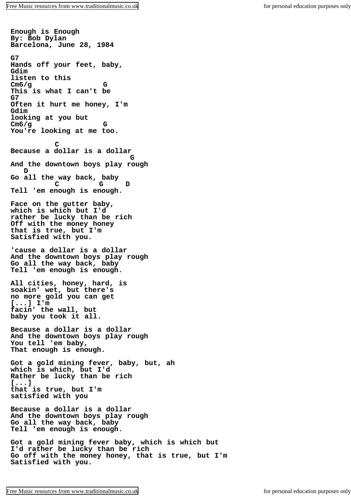**Enough is Enough By: Bob Dylan Barcelona, June 28, 1984 G7 Hands off your feet, baby, Gdim listen to this Cm6/g G This is what I can't be G7 Often it hurt me honey, I'm Gdim looking at you but Cm6/g G You're looking at me too. C Because a dollar is a dollar G And the downtown boys play rough D Go all the way back, baby C G D Tell 'em enough is enough. Face on the gutter baby, which is which but I'd rather be lucky than be rich Off with the money honey that is true, but I'm Satisfied with you. 'cause a dollar is a dollar And the downtown boys play rough Go all the way back, baby Tell 'em enough is enough. All cities, honey, hard, is soakin' wet, but there's no more gold you can get [...] I'm facin' the wall, but baby you took it all. Because a dollar is a dollar And the downtown boys play rough You tell 'em baby, That enough is enough. Got a gold mining fever, baby, but, ah which is which, but I'd Rather be lucky than be rich [...] that is true, but I'm satisfied with you Because a dollar is a dollar And the downtown boys play rough Go all the way back, baby Tell 'em enough is enough. Got a gold mining fever baby, which is which but I'd rather be lucky than be rich Go off with the money honey, that is true, but I'm Satisfied with you.**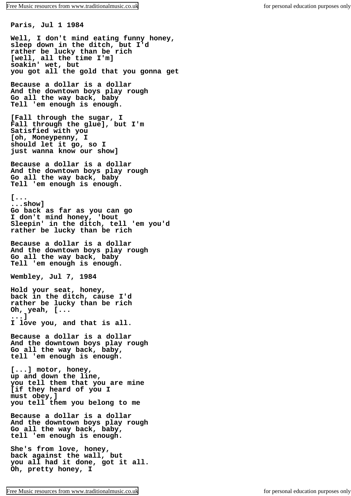**Paris, Jul 1 1984**

**Well, I don't mind eating funny honey, sleep down in the ditch, but I'd rather be lucky than be rich [well, all the time I'm] soakin' wet, but you got all the gold that you gonna get Because a dollar is a dollar And the downtown boys play rough Go all the way back, baby Tell 'em enough is enough. [Fall through the sugar, I Fall through the glue], but I'm Satisfied with you [oh, Moneypenny, I should let it go, so I just wanna know our show] Because a dollar is a dollar And the downtown boys play rough Go all the way back, baby Tell 'em enough is enough. [... ...show] Go back as far as you can go I don't mind honey, 'bout Sleepin' in the ditch, tell 'em you'd rather be lucky than be rich Because a dollar is a dollar And the downtown boys play rough Go all the way back, baby Tell 'em enough is enough. Wembley, Jul 7, 1984 Hold your seat, honey, back in the ditch, cause I'd rather be lucky than be rich Oh, yeah, [... ...] I love you, and that is all. Because a dollar is a dollar And the downtown boys play rough Go all the way back, baby, tell 'em enough is enough. [...] motor, honey, up and down the line, you tell them that you are mine [if they heard of you I must obey,] you tell them you belong to me Because a dollar is a dollar And the downtown boys play rough Go all the way back, baby, tell 'em enough is enough. She's from love, honey, back against the wall, but you all had it done, got it all. Oh, pretty honey, I**